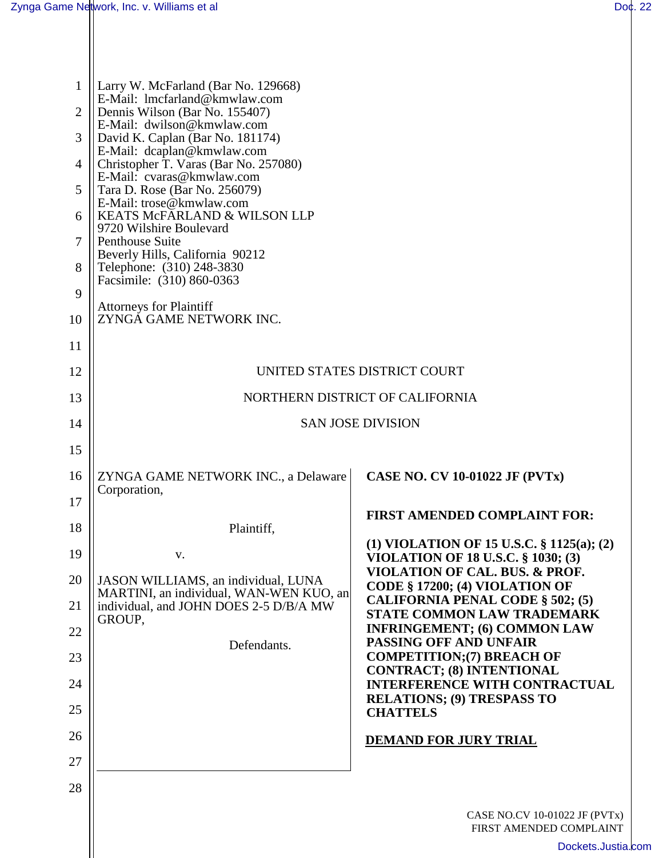| $\mathbf{1}$   | Larry W. McFarland (Bar No. 129668)                                                                    |                                                                           |  |
|----------------|--------------------------------------------------------------------------------------------------------|---------------------------------------------------------------------------|--|
| $\overline{2}$ | E-Mail: lmcfarland@kmwlaw.com<br>Dennis Wilson (Bar No. 155407)                                        |                                                                           |  |
| 3              | E-Mail: dwilson@kmwlaw.com<br>David K. Caplan (Bar No. 181174)                                         |                                                                           |  |
| $\overline{4}$ | E-Mail: dcaplan@kmwlaw.com<br>Christopher T. Varas (Bar No. 257080)                                    |                                                                           |  |
| 5              | E-Mail: cvaras@kmwlaw.com<br>Tara D. Rose (Bar No. 256079)                                             |                                                                           |  |
| 6              | E-Mail: trose@kmwlaw.com<br>KEATS MCFARLAND & WILSON LLP<br>9720 Wilshire Boulevard<br>Penthouse Suite |                                                                           |  |
| 7              |                                                                                                        |                                                                           |  |
| 8              | Beverly Hills, California 90212<br>Telephone: (310) 248-3830                                           |                                                                           |  |
| 9              | Facsimile: (310) 860-0363                                                                              |                                                                           |  |
| 10             | <b>Attorneys for Plaintiff</b><br>ZYNGA GAME NETWORK INC.                                              |                                                                           |  |
| 11             |                                                                                                        |                                                                           |  |
| 12             | UNITED STATES DISTRICT COURT                                                                           |                                                                           |  |
| 13             | NORTHERN DISTRICT OF CALIFORNIA                                                                        |                                                                           |  |
| 14             | <b>SAN JOSE DIVISION</b>                                                                               |                                                                           |  |
| 15             |                                                                                                        |                                                                           |  |
| 16             | ZYNGA GAME NETWORK INC., a Delaware<br>Corporation,                                                    | <b>CASE NO. CV 10-01022 JF (PVTx)</b>                                     |  |
| 17             |                                                                                                        | <b>FIRST AMENDED COMPLAINT FOR:</b>                                       |  |
| 18             | Plaintiff,                                                                                             | (1) VIOLATION OF 15 U.S.C. $\S$ 1125(a); (2)                              |  |
| 19             | v.                                                                                                     | <b>VIOLATION OF 18 U.S.C. § 1030; (3)</b>                                 |  |
| 20             | JASON WILLIAMS, an individual, LUNA<br>MARTINI, an individual, WAN-WEN KUO, an                         | VIOLATION OF CAL. BUS. & PROF.<br>CODE § 17200; (4) VIOLATION OF          |  |
| 21             | individual, and JOHN DOES 2-5 D/B/A MW<br>GROUP,                                                       | <b>CALIFORNIA PENAL CODE § 502; (5)</b><br>STATE COMMON LAW TRADEMARK     |  |
| 22             | Defendants.                                                                                            | <b>INFRINGEMENT; (6) COMMON LAW</b><br>PASSING OFF AND UNFAIR             |  |
| 23             |                                                                                                        | <b>COMPETITION; (7) BREACH OF</b><br><b>CONTRACT; (8) INTENTIONAL</b>     |  |
| 24             |                                                                                                        | <b>INTERFERENCE WITH CONTRACTUAL</b><br><b>RELATIONS; (9) TRESPASS TO</b> |  |
| 25             |                                                                                                        | <b>CHATTELS</b>                                                           |  |
| 26             |                                                                                                        | <b>DEMAND FOR JURY TRIAL</b>                                              |  |
| 27             |                                                                                                        |                                                                           |  |
| 28             |                                                                                                        |                                                                           |  |
|                |                                                                                                        | CASE NO.CV 10-01022 JF (PVTx)<br>FIRST AMENDED COMPLAINT                  |  |
|                |                                                                                                        | Dockets.Justia                                                            |  |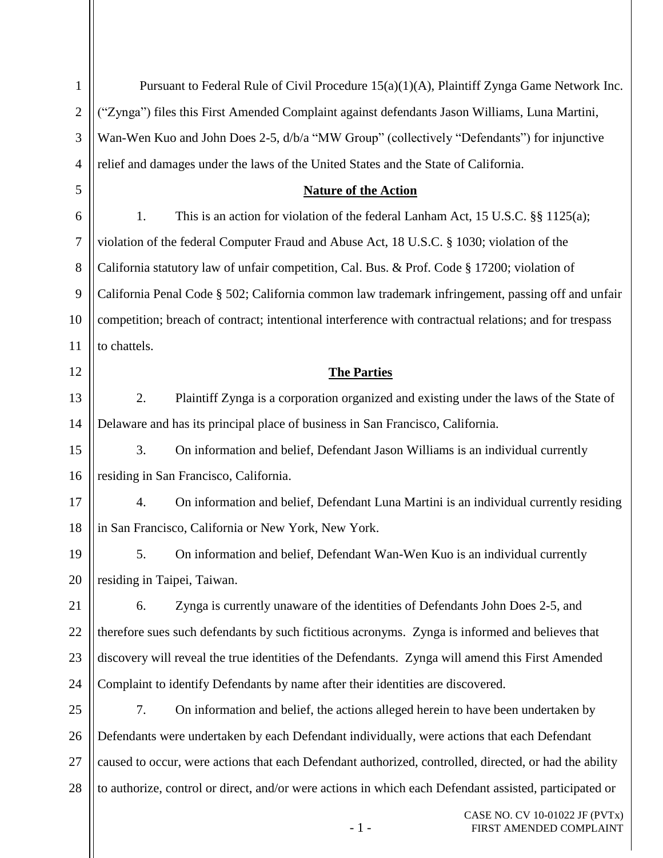| $\mathbf{1}$   | Pursuant to Federal Rule of Civil Procedure 15(a)(1)(A), Plaintiff Zynga Game Network Inc.             |  |  |
|----------------|--------------------------------------------------------------------------------------------------------|--|--|
| $\overline{2}$ | "Zynga") files this First Amended Complaint against defendants Jason Williams, Luna Martini,           |  |  |
| 3              | Wan-Wen Kuo and John Does 2-5, d/b/a "MW Group" (collectively "Defendants") for injunctive             |  |  |
| $\overline{4}$ | relief and damages under the laws of the United States and the State of California.                    |  |  |
| 5              | <b>Nature of the Action</b>                                                                            |  |  |
| 6              | This is an action for violation of the federal Lanham Act, 15 U.S.C. $\S$ 1125(a);<br>1.               |  |  |
| $\tau$         | violation of the federal Computer Fraud and Abuse Act, 18 U.S.C. § 1030; violation of the              |  |  |
| $8\,$          | California statutory law of unfair competition, Cal. Bus. & Prof. Code § 17200; violation of           |  |  |
| 9              | California Penal Code § 502; California common law trademark infringement, passing off and unfair      |  |  |
| 10             | competition; breach of contract; intentional interference with contractual relations; and for trespass |  |  |
| 11             | to chattels.                                                                                           |  |  |
| 12             | <b>The Parties</b>                                                                                     |  |  |
| 13             | 2.<br>Plaintiff Zynga is a corporation organized and existing under the laws of the State of           |  |  |
| 14             | Delaware and has its principal place of business in San Francisco, California.                         |  |  |
| 15             | 3.<br>On information and belief, Defendant Jason Williams is an individual currently                   |  |  |
| 16             | residing in San Francisco, California.                                                                 |  |  |
| 17             | On information and belief, Defendant Luna Martini is an individual currently residing<br>4.            |  |  |
| 18             | in San Francisco, California or New York, New York.                                                    |  |  |
| 19             | On information and belief, Defendant Wan-Wen Kuo is an individual currently<br>5.                      |  |  |
| 20             | residing in Taipei, Taiwan.                                                                            |  |  |
| 21             | 6.<br>Zynga is currently unaware of the identities of Defendants John Does 2-5, and                    |  |  |
| 22             | therefore sues such defendants by such fictitious acronyms. Zynga is informed and believes that        |  |  |
| 23             | discovery will reveal the true identities of the Defendants. Zynga will amend this First Amended       |  |  |
| 24             | Complaint to identify Defendants by name after their identities are discovered.                        |  |  |
| 25             | 7.<br>On information and belief, the actions alleged herein to have been undertaken by                 |  |  |
| 26             | Defendants were undertaken by each Defendant individually, were actions that each Defendant            |  |  |
| 27             | caused to occur, were actions that each Defendant authorized, controlled, directed, or had the ability |  |  |
| 28             | to authorize, control or direct, and/or were actions in which each Defendant assisted, participated or |  |  |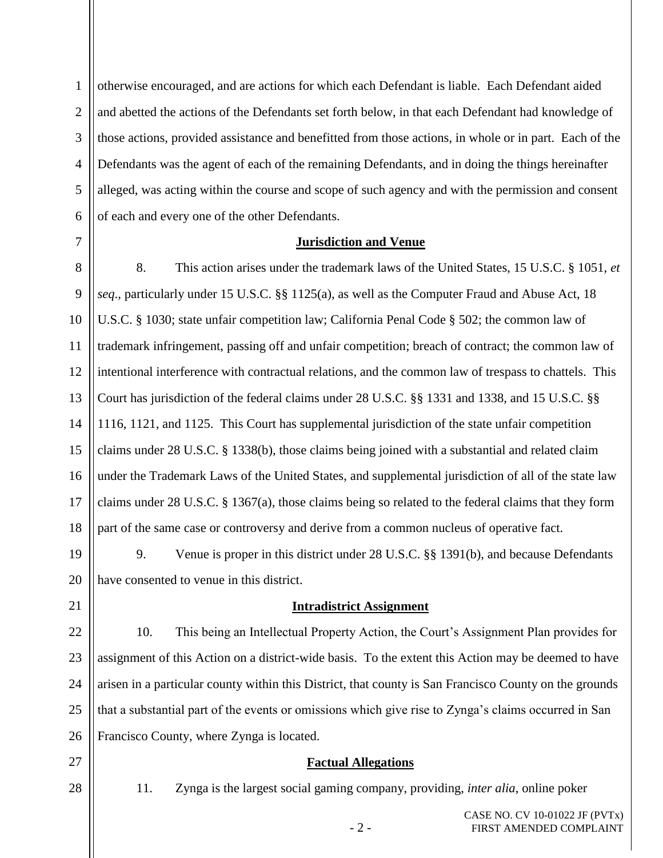1 2 3 4 5 6 otherwise encouraged, and are actions for which each Defendant is liable. Each Defendant aided and abetted the actions of the Defendants set forth below, in that each Defendant had knowledge of those actions, provided assistance and benefitted from those actions, in whole or in part. Each of the Defendants was the agent of each of the remaining Defendants, and in doing the things hereinafter alleged, was acting within the course and scope of such agency and with the permission and consent of each and every one of the other Defendants.

7

#### **Jurisdiction and Venue**

8 9 10 11 12 13 14 15 16 17 18 8. This action arises under the trademark laws of the United States, 15 U.S.C. § 1051, *et seq*., particularly under 15 U.S.C. §§ 1125(a), as well as the Computer Fraud and Abuse Act, 18 U.S.C. § 1030; state unfair competition law; California Penal Code § 502; the common law of trademark infringement, passing off and unfair competition; breach of contract; the common law of intentional interference with contractual relations, and the common law of trespass to chattels. This Court has jurisdiction of the federal claims under 28 U.S.C. §§ 1331 and 1338, and 15 U.S.C. §§ 1116, 1121, and 1125. This Court has supplemental jurisdiction of the state unfair competition claims under 28 U.S.C. § 1338(b), those claims being joined with a substantial and related claim under the Trademark Laws of the United States, and supplemental jurisdiction of all of the state law claims under 28 U.S.C. § 1367(a), those claims being so related to the federal claims that they form part of the same case or controversy and derive from a common nucleus of operative fact.

19 20 9. Venue is proper in this district under 28 U.S.C. §§ 1391(b), and because Defendants have consented to venue in this district.

#### **Intradistrict Assignment**

22 23 24 25 26 10. This being an Intellectual Property Action, the Court's Assignment Plan provides for assignment of this Action on a district-wide basis. To the extent this Action may be deemed to have arisen in a particular county within this District, that county is San Francisco County on the grounds that a substantial part of the events or omissions which give rise to Zynga's claims occurred in San Francisco County, where Zynga is located.

#### **Factual Allegations**

28

27

21

11. Zynga is the largest social gaming company, providing, *inter alia*, online poker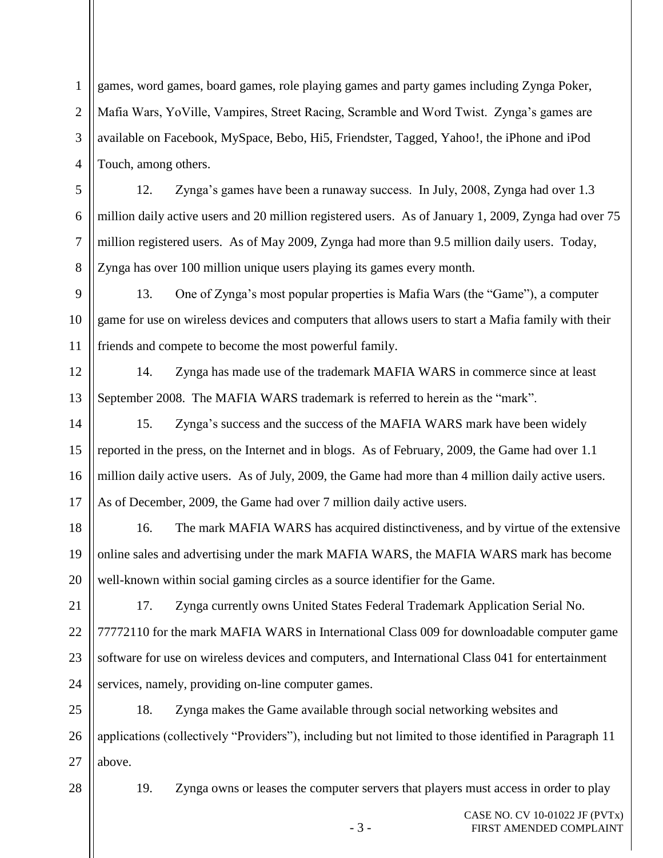1 2 3 4 games, word games, board games, role playing games and party games including Zynga Poker, Mafia Wars, YoVille, Vampires, Street Racing, Scramble and Word Twist. Zynga's games are available on Facebook, MySpace, Bebo, Hi5, Friendster, Tagged, Yahoo!, the iPhone and iPod Touch, among others.

12. Zynga's games have been a runaway success. In July, 2008, Zynga had over 1.3 million daily active users and 20 million registered users. As of January 1, 2009, Zynga had over 75 million registered users. As of May 2009, Zynga had more than 9.5 million daily users. Today, Zynga has over 100 million unique users playing its games every month.

9 10 11 13. One of Zynga's most popular properties is Mafia Wars (the "Game"), a computer game for use on wireless devices and computers that allows users to start a Mafia family with their friends and compete to become the most powerful family.

12 13 14. Zynga has made use of the trademark MAFIA WARS in commerce since at least September 2008. The MAFIA WARS trademark is referred to herein as the "mark".

14 15 16 17 15. Zynga's success and the success of the MAFIA WARS mark have been widely reported in the press, on the Internet and in blogs. As of February, 2009, the Game had over 1.1 million daily active users. As of July, 2009, the Game had more than 4 million daily active users. As of December, 2009, the Game had over 7 million daily active users.

18 19 20 16. The mark MAFIA WARS has acquired distinctiveness, and by virtue of the extensive online sales and advertising under the mark MAFIA WARS, the MAFIA WARS mark has become well-known within social gaming circles as a source identifier for the Game.

21 22 23 24 17. Zynga currently owns United States Federal Trademark Application Serial No. 77772110 for the mark MAFIA WARS in International Class 009 for downloadable computer game software for use on wireless devices and computers, and International Class 041 for entertainment services, namely, providing on-line computer games.

25 26 27 18. Zynga makes the Game available through social networking websites and applications (collectively "Providers"), including but not limited to those identified in Paragraph 11 above.

28

5

6

7

8

19. Zynga owns or leases the computer servers that players must access in order to play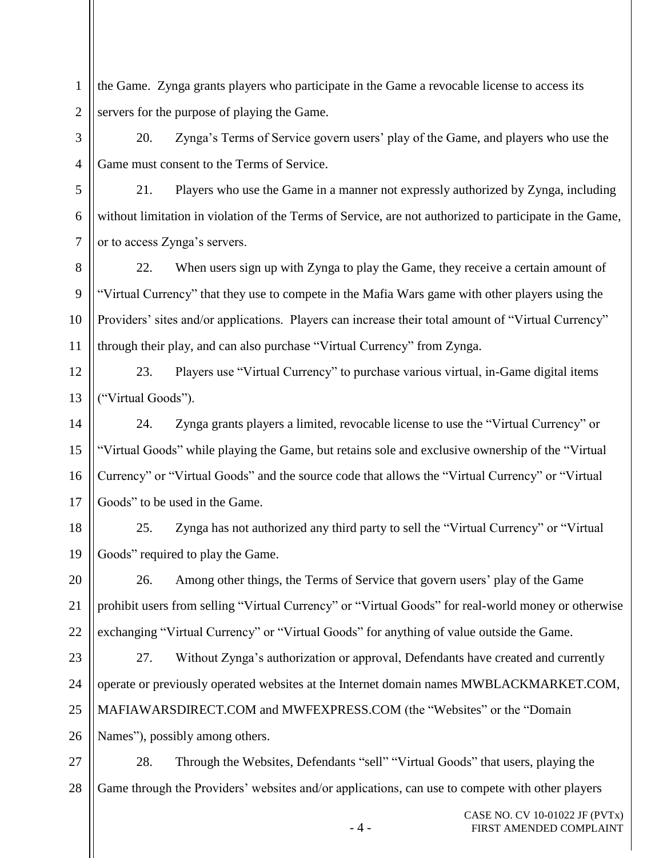1 2 the Game. Zynga grants players who participate in the Game a revocable license to access its servers for the purpose of playing the Game.

3

4

5

6

7

20. Zynga's Terms of Service govern users' play of the Game, and players who use the Game must consent to the Terms of Service.

21. Players who use the Game in a manner not expressly authorized by Zynga, including without limitation in violation of the Terms of Service, are not authorized to participate in the Game, or to access Zynga's servers.

8 9 10 11 22. When users sign up with Zynga to play the Game, they receive a certain amount of "Virtual Currency" that they use to compete in the Mafia Wars game with other players using the Providers' sites and/or applications. Players can increase their total amount of "Virtual Currency" through their play, and can also purchase "Virtual Currency" from Zynga.

12 13 23. Players use "Virtual Currency" to purchase various virtual, in-Game digital items ("Virtual Goods").

14 15 16 17 24. Zynga grants players a limited, revocable license to use the "Virtual Currency" or "Virtual Goods" while playing the Game, but retains sole and exclusive ownership of the "Virtual Currency" or "Virtual Goods" and the source code that allows the "Virtual Currency" or "Virtual Goods" to be used in the Game.

18 19 25. Zynga has not authorized any third party to sell the "Virtual Currency" or "Virtual Goods" required to play the Game.

20 21 22 26. Among other things, the Terms of Service that govern users' play of the Game prohibit users from selling "Virtual Currency" or "Virtual Goods" for real-world money or otherwise exchanging "Virtual Currency" or "Virtual Goods" for anything of value outside the Game.

23 24 25 26 27. Without Zynga's authorization or approval, Defendants have created and currently operate or previously operated websites at the Internet domain names MWBLACKMARKET.COM, MAFIAWARSDIRECT.COM and MWFEXPRESS.COM (the "Websites" or the "Domain Names"), possibly among others.

27 28 28. Through the Websites, Defendants "sell" "Virtual Goods" that users, playing the Game through the Providers' websites and/or applications, can use to compete with other players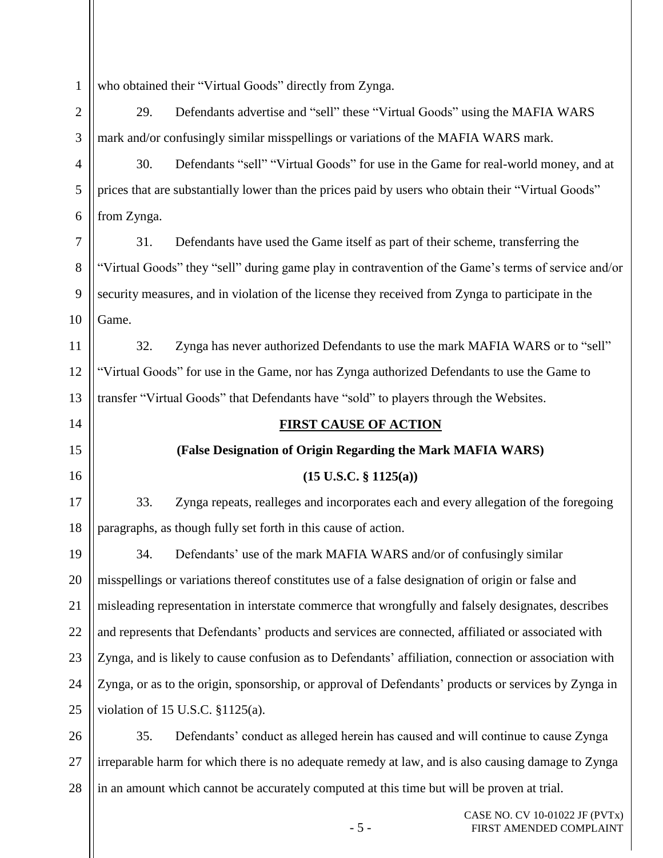1 who obtained their "Virtual Goods" directly from Zynga.

2 3 29. Defendants advertise and "sell" these "Virtual Goods" using the MAFIA WARS mark and/or confusingly similar misspellings or variations of the MAFIA WARS mark.

4 5 6 30. Defendants "sell" "Virtual Goods" for use in the Game for real-world money, and at prices that are substantially lower than the prices paid by users who obtain their "Virtual Goods" from Zynga.

7 8 9 10 31. Defendants have used the Game itself as part of their scheme, transferring the "Virtual Goods" they "sell" during game play in contravention of the Game's terms of service and/or security measures, and in violation of the license they received from Zynga to participate in the Game.

11 12 13 32. Zynga has never authorized Defendants to use the mark MAFIA WARS or to "sell" "Virtual Goods" for use in the Game, nor has Zynga authorized Defendants to use the Game to transfer "Virtual Goods" that Defendants have "sold" to players through the Websites.

**FIRST CAUSE OF ACTION**

**(False Designation of Origin Regarding the Mark MAFIA WARS)**

**(15 U.S.C. § 1125(a))**

14

15

16

17

18

33. Zynga repeats, realleges and incorporates each and every allegation of the foregoing paragraphs, as though fully set forth in this cause of action.

19 20 21 22 23 24 25 34. Defendants' use of the mark MAFIA WARS and/or of confusingly similar misspellings or variations thereof constitutes use of a false designation of origin or false and misleading representation in interstate commerce that wrongfully and falsely designates, describes and represents that Defendants' products and services are connected, affiliated or associated with Zynga, and is likely to cause confusion as to Defendants' affiliation, connection or association with Zynga, or as to the origin, sponsorship, or approval of Defendants' products or services by Zynga in violation of 15 U.S.C. §1125(a).

26 27 28 35. Defendants' conduct as alleged herein has caused and will continue to cause Zynga irreparable harm for which there is no adequate remedy at law, and is also causing damage to Zynga in an amount which cannot be accurately computed at this time but will be proven at trial.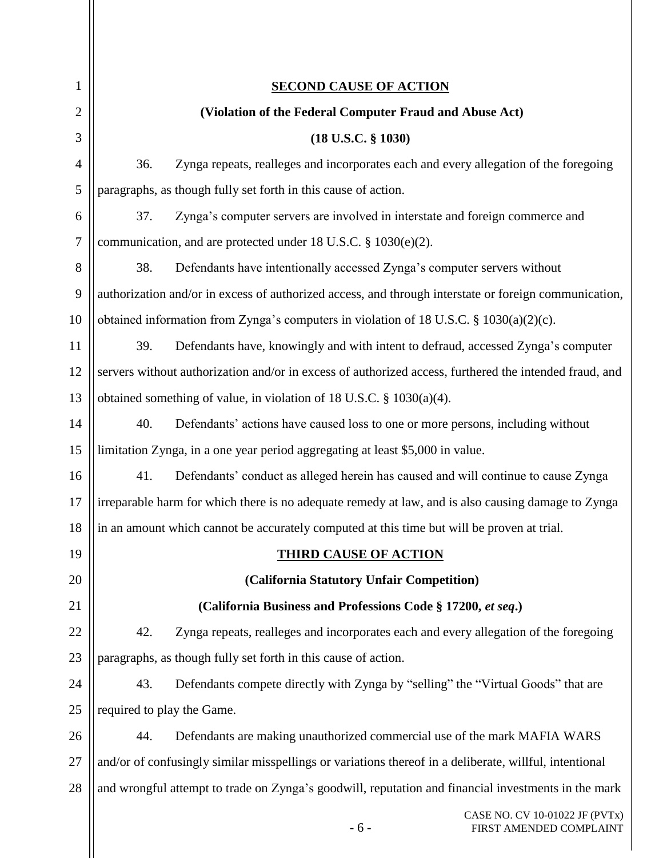| 1              | <b>SECOND CAUSE OF ACTION</b>                                                                          |  |  |
|----------------|--------------------------------------------------------------------------------------------------------|--|--|
| $\overline{2}$ | (Violation of the Federal Computer Fraud and Abuse Act)                                                |  |  |
| 3              | $(18$ U.S.C. $§$ 1030)                                                                                 |  |  |
| $\overline{4}$ | Zynga repeats, realleges and incorporates each and every allegation of the foregoing<br>36.            |  |  |
| 5              | paragraphs, as though fully set forth in this cause of action.                                         |  |  |
| 6              | Zynga's computer servers are involved in interstate and foreign commerce and<br>37.                    |  |  |
| 7              | communication, and are protected under 18 U.S.C. $\S$ 1030(e)(2).                                      |  |  |
| 8              | 38.<br>Defendants have intentionally accessed Zynga's computer servers without                         |  |  |
| 9              | authorization and/or in excess of authorized access, and through interstate or foreign communication,  |  |  |
| 10             | obtained information from Zynga's computers in violation of 18 U.S.C. § 1030(a)(2)(c).                 |  |  |
| 11             | 39.<br>Defendants have, knowingly and with intent to defraud, accessed Zynga's computer                |  |  |
| 12             | servers without authorization and/or in excess of authorized access, furthered the intended fraud, and |  |  |
| 13             | obtained something of value, in violation of 18 U.S.C. $\S$ 1030(a)(4).                                |  |  |
| 14             | 40.<br>Defendants' actions have caused loss to one or more persons, including without                  |  |  |
| 15             | limitation Zynga, in a one year period aggregating at least \$5,000 in value.                          |  |  |
| 16             | Defendants' conduct as alleged herein has caused and will continue to cause Zynga<br>41.               |  |  |
| 17             | irreparable harm for which there is no adequate remedy at law, and is also causing damage to Zynga     |  |  |
| 18             | in an amount which cannot be accurately computed at this time but will be proven at trial.             |  |  |
| 19             | <b>THIRD CAUSE OF ACTION</b>                                                                           |  |  |
| 20             | (California Statutory Unfair Competition)                                                              |  |  |
| 21             | (California Business and Professions Code § 17200, et seq.)                                            |  |  |
| 22             | 42.<br>Zynga repeats, realleges and incorporates each and every allegation of the foregoing            |  |  |
| 23             | paragraphs, as though fully set forth in this cause of action.                                         |  |  |
| 24             | Defendants compete directly with Zynga by "selling" the "Virtual Goods" that are<br>43.                |  |  |
| 25             | required to play the Game.                                                                             |  |  |
| 26             | Defendants are making unauthorized commercial use of the mark MAFIA WARS<br>44.                        |  |  |
| 27             | and/or of confusingly similar misspellings or variations thereof in a deliberate, willful, intentional |  |  |
| 28             | and wrongful attempt to trade on Zynga's goodwill, reputation and financial investments in the mark    |  |  |
|                |                                                                                                        |  |  |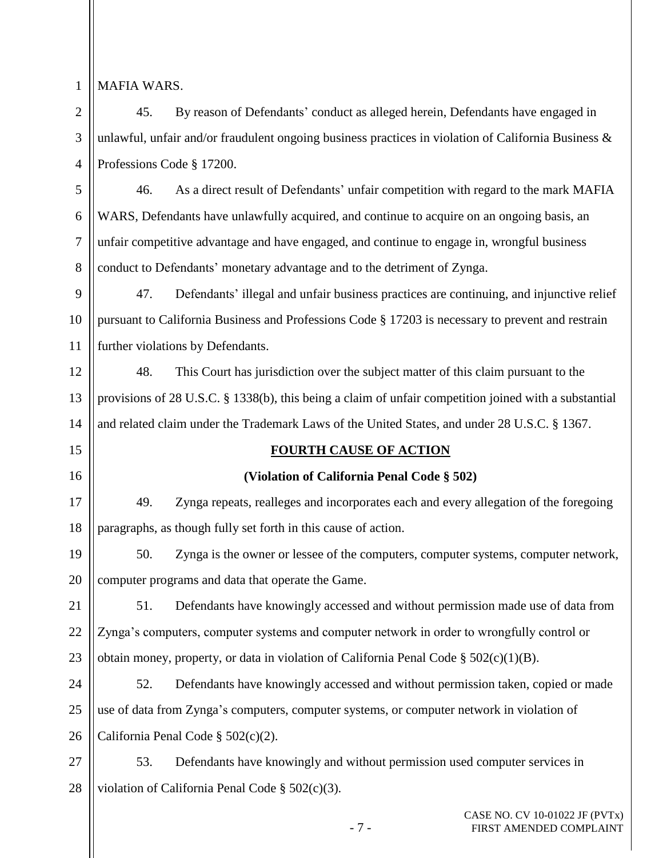1

2

3

4

15

16

### MAFIA WARS.

45. By reason of Defendants' conduct as alleged herein, Defendants have engaged in unlawful, unfair and/or fraudulent ongoing business practices in violation of California Business  $\&$ Professions Code § 17200.

5 6 7 8 46. As a direct result of Defendants' unfair competition with regard to the mark MAFIA WARS, Defendants have unlawfully acquired, and continue to acquire on an ongoing basis, an unfair competitive advantage and have engaged, and continue to engage in, wrongful business conduct to Defendants' monetary advantage and to the detriment of Zynga.

9 10 11 47. Defendants' illegal and unfair business practices are continuing, and injunctive relief pursuant to California Business and Professions Code § 17203 is necessary to prevent and restrain further violations by Defendants.

12 13 14 48. This Court has jurisdiction over the subject matter of this claim pursuant to the provisions of 28 U.S.C. § 1338(b), this being a claim of unfair competition joined with a substantial and related claim under the Trademark Laws of the United States, and under 28 U.S.C. § 1367.

### **FOURTH CAUSE OF ACTION**

### **(Violation of California Penal Code § 502)**

17 18 49. Zynga repeats, realleges and incorporates each and every allegation of the foregoing paragraphs, as though fully set forth in this cause of action.

19 20 50. Zynga is the owner or lessee of the computers, computer systems, computer network, computer programs and data that operate the Game.

21 22 23 51. Defendants have knowingly accessed and without permission made use of data from Zynga's computers, computer systems and computer network in order to wrongfully control or obtain money, property, or data in violation of California Penal Code  $\S 502(c)(1)(B)$ .

24 25 26 52. Defendants have knowingly accessed and without permission taken, copied or made use of data from Zynga's computers, computer systems, or computer network in violation of California Penal Code § 502(c)(2).

27 28 53. Defendants have knowingly and without permission used computer services in violation of California Penal Code § 502(c)(3).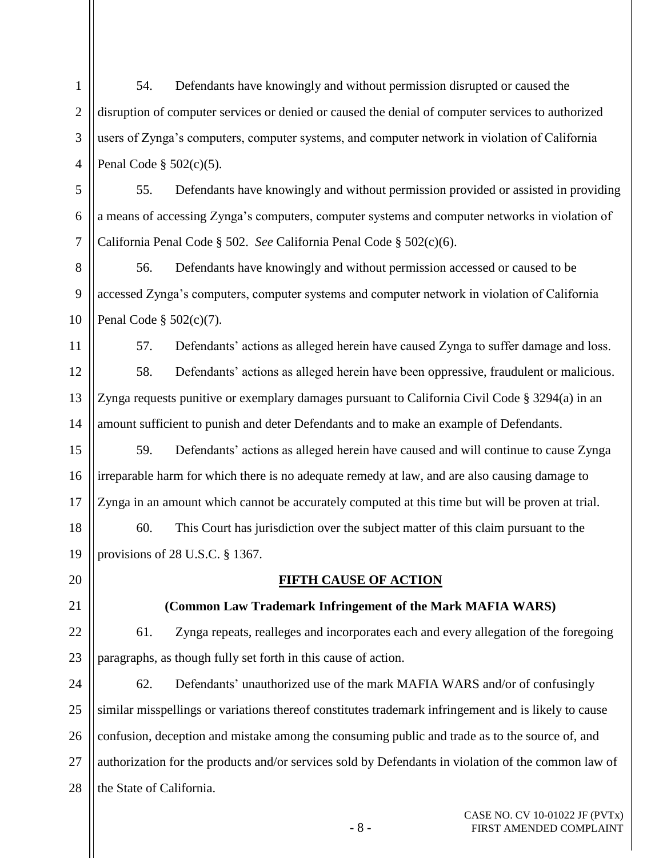1 2 3 4 54. Defendants have knowingly and without permission disrupted or caused the disruption of computer services or denied or caused the denial of computer services to authorized users of Zynga's computers, computer systems, and computer network in violation of California Penal Code § 502(c)(5).

55. Defendants have knowingly and without permission provided or assisted in providing a means of accessing Zynga's computers, computer systems and computer networks in violation of California Penal Code § 502. *See* California Penal Code § 502(c)(6).

8 9 10 56. Defendants have knowingly and without permission accessed or caused to be accessed Zynga's computers, computer systems and computer network in violation of California Penal Code § 502(c)(7).

11

5

6

7

57. Defendants' actions as alleged herein have caused Zynga to suffer damage and loss.

12 13 14 58. Defendants' actions as alleged herein have been oppressive, fraudulent or malicious. Zynga requests punitive or exemplary damages pursuant to California Civil Code § 3294(a) in an amount sufficient to punish and deter Defendants and to make an example of Defendants.

15 16 17 59. Defendants' actions as alleged herein have caused and will continue to cause Zynga irreparable harm for which there is no adequate remedy at law, and are also causing damage to Zynga in an amount which cannot be accurately computed at this time but will be proven at trial.

18 19 60. This Court has jurisdiction over the subject matter of this claim pursuant to the provisions of 28 U.S.C. § 1367.

20

### 21

## **(Common Law Trademark Infringement of the Mark MAFIA WARS)**

**FIFTH CAUSE OF ACTION**

22 23 61. Zynga repeats, realleges and incorporates each and every allegation of the foregoing paragraphs, as though fully set forth in this cause of action.

24 25 26 27 28 62. Defendants' unauthorized use of the mark MAFIA WARS and/or of confusingly similar misspellings or variations thereof constitutes trademark infringement and is likely to cause confusion, deception and mistake among the consuming public and trade as to the source of, and authorization for the products and/or services sold by Defendants in violation of the common law of the State of California.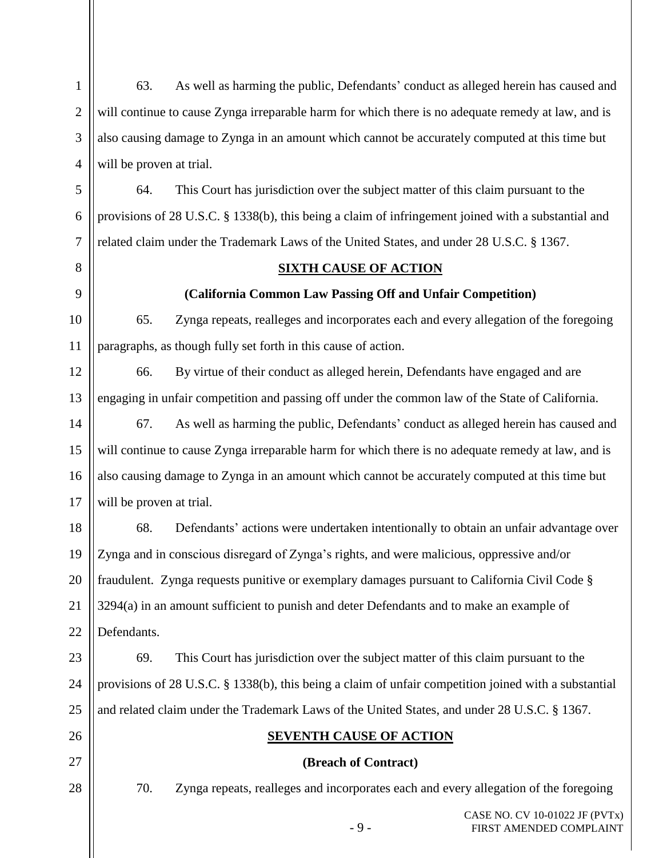| $\mathbf{1}$   | 63.                      | As well as harming the public, Defendants' conduct as alleged herein has caused and                   |
|----------------|--------------------------|-------------------------------------------------------------------------------------------------------|
| $\overline{2}$ |                          | will continue to cause Zynga irreparable harm for which there is no adequate remedy at law, and is    |
| 3              |                          | also causing damage to Zynga in an amount which cannot be accurately computed at this time but        |
| $\overline{4}$ | will be proven at trial. |                                                                                                       |
| 5              | 64.                      | This Court has jurisdiction over the subject matter of this claim pursuant to the                     |
| 6              |                          | provisions of 28 U.S.C. § 1338(b), this being a claim of infringement joined with a substantial and   |
| $\overline{7}$ |                          | related claim under the Trademark Laws of the United States, and under 28 U.S.C. § 1367.              |
| 8              |                          | <b>SIXTH CAUSE OF ACTION</b>                                                                          |
| 9              |                          | (California Common Law Passing Off and Unfair Competition)                                            |
| 10             | 65.                      | Zynga repeats, realleges and incorporates each and every allegation of the foregoing                  |
| 11             |                          | paragraphs, as though fully set forth in this cause of action.                                        |
| 12             | 66.                      | By virtue of their conduct as alleged herein, Defendants have engaged and are                         |
| 13             |                          | engaging in unfair competition and passing off under the common law of the State of California.       |
| 14             | 67.                      | As well as harming the public, Defendants' conduct as alleged herein has caused and                   |
| 15             |                          | will continue to cause Zynga irreparable harm for which there is no adequate remedy at law, and is    |
| 16             |                          | also causing damage to Zynga in an amount which cannot be accurately computed at this time but        |
| 17             | will be proven at trial. |                                                                                                       |
| 18             | 68.                      | Defendants' actions were undertaken intentionally to obtain an unfair advantage over                  |
| 19             |                          | Zynga and in conscious disregard of Zynga's rights, and were malicious, oppressive and/or             |
| 20             |                          | fraudulent. Zynga requests punitive or exemplary damages pursuant to California Civil Code §          |
| 21             |                          | 3294(a) in an amount sufficient to punish and deter Defendants and to make an example of              |
| 22             | Defendants.              |                                                                                                       |
| 23             | 69.                      | This Court has jurisdiction over the subject matter of this claim pursuant to the                     |
| 24             |                          | provisions of 28 U.S.C. § 1338(b), this being a claim of unfair competition joined with a substantial |
| 25             |                          | and related claim under the Trademark Laws of the United States, and under 28 U.S.C. § 1367.          |
| 26             |                          | <b>SEVENTH CAUSE OF ACTION</b>                                                                        |
| 27             |                          | (Breach of Contract)                                                                                  |
| 28             | 70.                      | Zynga repeats, realleges and incorporates each and every allegation of the foregoing                  |
|                |                          | CASE NO. CV 10-01022 JF (PVTx)                                                                        |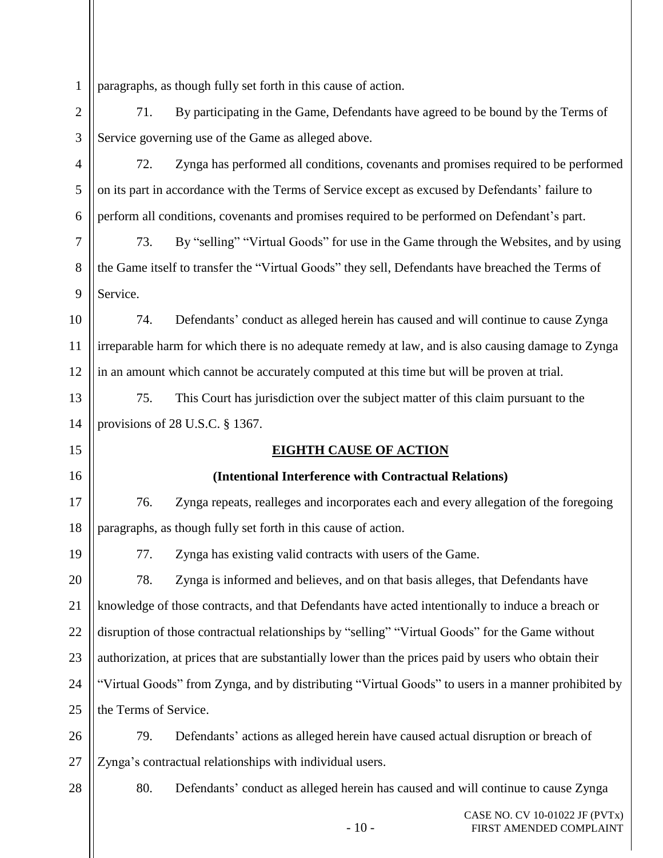1 paragraphs, as though fully set forth in this cause of action.

71. By participating in the Game, Defendants have agreed to be bound by the Terms of Service governing use of the Game as alleged above.

72. Zynga has performed all conditions, covenants and promises required to be performed on its part in accordance with the Terms of Service except as excused by Defendants' failure to perform all conditions, covenants and promises required to be performed on Defendant's part.

73. By "selling" "Virtual Goods" for use in the Game through the Websites, and by using the Game itself to transfer the "Virtual Goods" they sell, Defendants have breached the Terms of Service.

10 11 12 74. Defendants' conduct as alleged herein has caused and will continue to cause Zynga irreparable harm for which there is no adequate remedy at law, and is also causing damage to Zynga in an amount which cannot be accurately computed at this time but will be proven at trial.

13 14 75. This Court has jurisdiction over the subject matter of this claim pursuant to the provisions of 28 U.S.C. § 1367.

# **EIGHTH CAUSE OF ACTION**

# **(Intentional Interference with Contractual Relations)**

17 18 76. Zynga repeats, realleges and incorporates each and every allegation of the foregoing paragraphs, as though fully set forth in this cause of action.

19

15

16

2

3

4

5

6

7

8

9

77. Zynga has existing valid contracts with users of the Game.

20 21 22 23 24 25 78. Zynga is informed and believes, and on that basis alleges, that Defendants have knowledge of those contracts, and that Defendants have acted intentionally to induce a breach or disruption of those contractual relationships by "selling" "Virtual Goods" for the Game without authorization, at prices that are substantially lower than the prices paid by users who obtain their "Virtual Goods" from Zynga, and by distributing "Virtual Goods" to users in a manner prohibited by the Terms of Service.

26 27 79. Defendants' actions as alleged herein have caused actual disruption or breach of Zynga's contractual relationships with individual users.

28

80. Defendants' conduct as alleged herein has caused and will continue to cause Zynga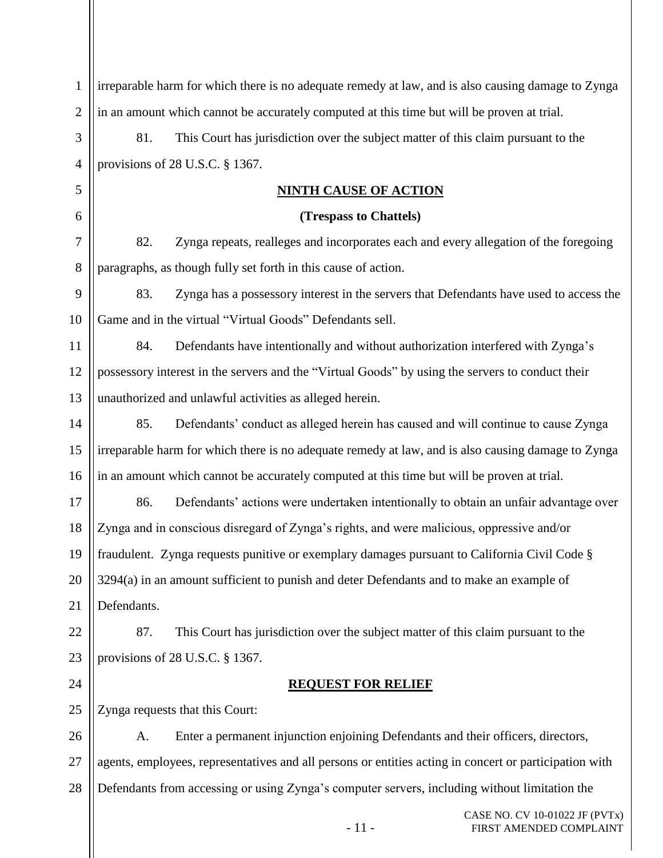| $\mathbf{1}$   | irreparable harm for which there is no adequate remedy at law, and is also causing damage to Zynga     |  |  |
|----------------|--------------------------------------------------------------------------------------------------------|--|--|
| $\overline{2}$ | in an amount which cannot be accurately computed at this time but will be proven at trial.             |  |  |
| 3              | This Court has jurisdiction over the subject matter of this claim pursuant to the<br>81.               |  |  |
| $\overline{4}$ | provisions of 28 U.S.C. § 1367.                                                                        |  |  |
| 5              | <u>NINTH CAUSE OF ACTION</u>                                                                           |  |  |
| 6              | (Trespass to Chattels)                                                                                 |  |  |
| 7              | Zynga repeats, realleges and incorporates each and every allegation of the foregoing<br>82.            |  |  |
| 8              | paragraphs, as though fully set forth in this cause of action.                                         |  |  |
| 9              | Zynga has a possessory interest in the servers that Defendants have used to access the<br>83.          |  |  |
| 10             | Game and in the virtual "Virtual Goods" Defendants sell.                                               |  |  |
| 11             | Defendants have intentionally and without authorization interfered with Zynga's<br>84.                 |  |  |
| 12             | possessory interest in the servers and the "Virtual Goods" by using the servers to conduct their       |  |  |
| 13             | unauthorized and unlawful activities as alleged herein.                                                |  |  |
| 14             | Defendants' conduct as alleged herein has caused and will continue to cause Zynga<br>85.               |  |  |
| 15             | irreparable harm for which there is no adequate remedy at law, and is also causing damage to Zynga     |  |  |
| 16             | in an amount which cannot be accurately computed at this time but will be proven at trial.             |  |  |
| 17             | Defendants' actions were undertaken intentionally to obtain an unfair advantage over<br>86.            |  |  |
| 18             | Zynga and in conscious disregard of Zynga's rights, and were malicious, oppressive and/or              |  |  |
| 19             | fraudulent. Zynga requests punitive or exemplary damages pursuant to California Civil Code §           |  |  |
| 20             | 3294(a) in an amount sufficient to punish and deter Defendants and to make an example of               |  |  |
| 21             | Defendants.                                                                                            |  |  |
| 22             | This Court has jurisdiction over the subject matter of this claim pursuant to the<br>87.               |  |  |
| 23             | provisions of 28 U.S.C. § 1367.                                                                        |  |  |
| 24             | <b>REQUEST FOR RELIEF</b>                                                                              |  |  |
| 25             | Zynga requests that this Court:                                                                        |  |  |
| 26             | Enter a permanent injunction enjoining Defendants and their officers, directors,<br>A.                 |  |  |
| 27             | agents, employees, representatives and all persons or entities acting in concert or participation with |  |  |
| 28             | Defendants from accessing or using Zynga's computer servers, including without limitation the          |  |  |
|                | CASE NO. CV 10-01022 JF (PVTx)                                                                         |  |  |

- 11 - FIRST AMENDED COMPLAINT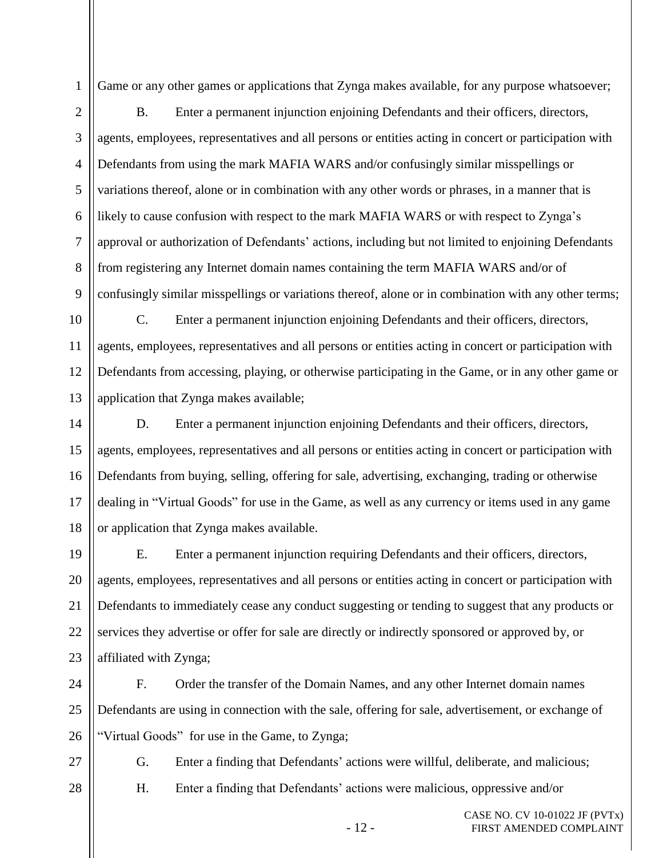Game or any other games or applications that Zynga makes available, for any purpose whatsoever;

2 3 4 5 6 7 8 9 B. Enter a permanent injunction enjoining Defendants and their officers, directors, agents, employees, representatives and all persons or entities acting in concert or participation with Defendants from using the mark MAFIA WARS and/or confusingly similar misspellings or variations thereof, alone or in combination with any other words or phrases, in a manner that is likely to cause confusion with respect to the mark MAFIA WARS or with respect to Zynga's approval or authorization of Defendants' actions, including but not limited to enjoining Defendants from registering any Internet domain names containing the term MAFIA WARS and/or of confusingly similar misspellings or variations thereof, alone or in combination with any other terms;

10 11 12 13 C. Enter a permanent injunction enjoining Defendants and their officers, directors, agents, employees, representatives and all persons or entities acting in concert or participation with Defendants from accessing, playing, or otherwise participating in the Game, or in any other game or application that Zynga makes available;

14 15 16 17 18 D. Enter a permanent injunction enjoining Defendants and their officers, directors, agents, employees, representatives and all persons or entities acting in concert or participation with Defendants from buying, selling, offering for sale, advertising, exchanging, trading or otherwise dealing in "Virtual Goods" for use in the Game, as well as any currency or items used in any game or application that Zynga makes available.

19 20 21 22 23 E. Enter a permanent injunction requiring Defendants and their officers, directors, agents, employees, representatives and all persons or entities acting in concert or participation with Defendants to immediately cease any conduct suggesting or tending to suggest that any products or services they advertise or offer for sale are directly or indirectly sponsored or approved by, or affiliated with Zynga;

24 25 26 F. Order the transfer of the Domain Names, and any other Internet domain names Defendants are using in connection with the sale, offering for sale, advertisement, or exchange of "Virtual Goods" for use in the Game, to Zynga;

27

1

G. Enter a finding that Defendants' actions were willful, deliberate, and malicious;

28

H. Enter a finding that Defendants' actions were malicious, oppressive and/or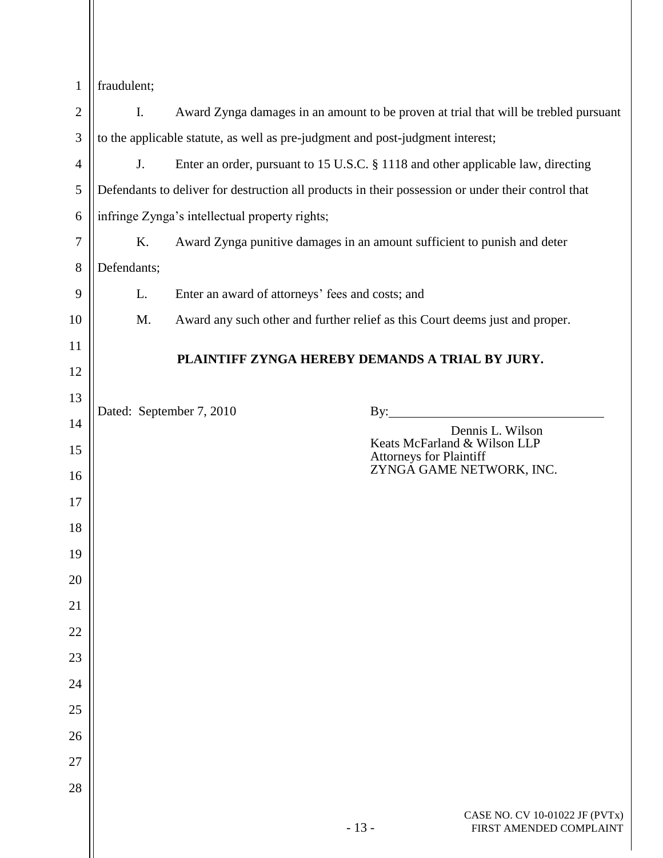| $\ $ fraudulent; |
|------------------|
|------------------|

 $\parallel$ 

| $\mathbf{2}$   | Ι.<br>Award Zynga damages in an amount to be proven at trial that will be trebled pursuant |                                                                                                    |                                                                                  |                                                           |
|----------------|--------------------------------------------------------------------------------------------|----------------------------------------------------------------------------------------------------|----------------------------------------------------------------------------------|-----------------------------------------------------------|
| 3              | to the applicable statute, as well as pre-judgment and post-judgment interest;             |                                                                                                    |                                                                                  |                                                           |
| 4              | J.                                                                                         |                                                                                                    | Enter an order, pursuant to 15 U.S.C. § 1118 and other applicable law, directing |                                                           |
| 5              |                                                                                            | Defendants to deliver for destruction all products in their possession or under their control that |                                                                                  |                                                           |
| 6              |                                                                                            | infringe Zynga's intellectual property rights;                                                     |                                                                                  |                                                           |
| $\overline{7}$ | K.                                                                                         |                                                                                                    | Award Zynga punitive damages in an amount sufficient to punish and deter         |                                                           |
| 8              | Defendants;                                                                                |                                                                                                    |                                                                                  |                                                           |
| 9              | L.                                                                                         |                                                                                                    | Enter an award of attorneys' fees and costs; and                                 |                                                           |
| 10             | M.                                                                                         |                                                                                                    | Award any such other and further relief as this Court deems just and proper.     |                                                           |
| 11             | PLAINTIFF ZYNGA HEREBY DEMANDS A TRIAL BY JURY.                                            |                                                                                                    |                                                                                  |                                                           |
| 12             |                                                                                            |                                                                                                    |                                                                                  |                                                           |
| 13             |                                                                                            | Dated: September 7, 2010                                                                           |                                                                                  | $\mathbf{By:}$                                            |
| 14             |                                                                                            |                                                                                                    |                                                                                  | Dennis L. Wilson                                          |
| 15             |                                                                                            |                                                                                                    | <b>Attorneys for Plaintiff</b>                                                   | Keats McFarland & Wilson LLP<br>ZYNGA GAME NETWORK, INC.  |
| 16             |                                                                                            |                                                                                                    |                                                                                  |                                                           |
| 17             |                                                                                            |                                                                                                    |                                                                                  |                                                           |
| 18             |                                                                                            |                                                                                                    |                                                                                  |                                                           |
| 19             |                                                                                            |                                                                                                    |                                                                                  |                                                           |
| 20             |                                                                                            |                                                                                                    |                                                                                  |                                                           |
| 21             |                                                                                            |                                                                                                    |                                                                                  |                                                           |
| 22             |                                                                                            |                                                                                                    |                                                                                  |                                                           |
| 23             |                                                                                            |                                                                                                    |                                                                                  |                                                           |
| 24             |                                                                                            |                                                                                                    |                                                                                  |                                                           |
| 25             |                                                                                            |                                                                                                    |                                                                                  |                                                           |
| 26             |                                                                                            |                                                                                                    |                                                                                  |                                                           |
| 27<br>28       |                                                                                            |                                                                                                    |                                                                                  |                                                           |
|                |                                                                                            |                                                                                                    |                                                                                  |                                                           |
|                |                                                                                            |                                                                                                    | $-13-$                                                                           | CASE NO. CV 10-01022 JF (PVTx)<br>FIRST AMENDED COMPLAINT |